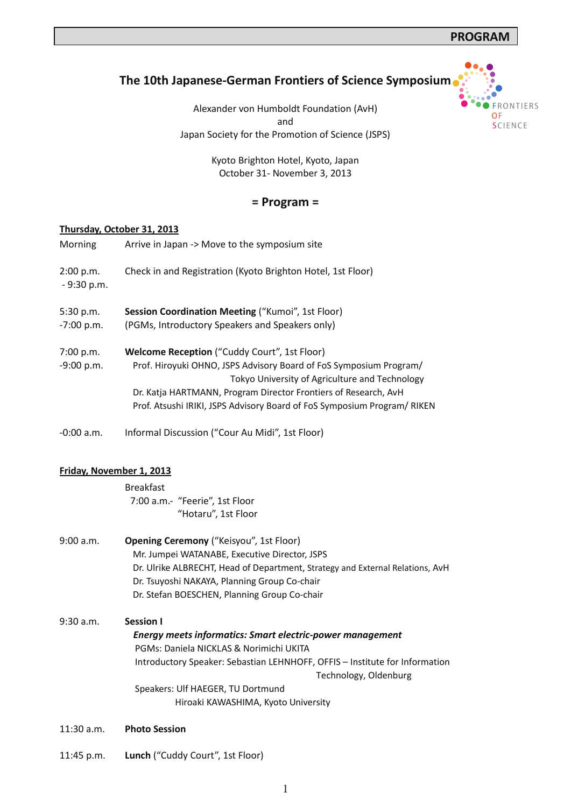**FRONTIERS** 

OF SCIENCE

# **The 10th Japanese-German Frontiers of Science Symposium**

Alexander von Humboldt Foundation (AvH) and Japan Society for the Promotion of Science (JSPS)

> Kyoto Brighton Hotel, Kyoto, Japan October 31- November 3, 2013

## **= Program =**

#### **Thursday, October 31, 2013**

| Morning                   | Arrive in Japan -> Move to the symposium site                                                                                                                                                                                                                                                                              |
|---------------------------|----------------------------------------------------------------------------------------------------------------------------------------------------------------------------------------------------------------------------------------------------------------------------------------------------------------------------|
| 2:00 p.m.<br>$-9:30$ p.m. | Check in and Registration (Kyoto Brighton Hotel, 1st Floor)                                                                                                                                                                                                                                                                |
| 5:30 p.m.<br>$-7:00 p.m.$ | Session Coordination Meeting ("Kumoi", 1st Floor)<br>(PGMs, Introductory Speakers and Speakers only)                                                                                                                                                                                                                       |
| 7:00 p.m.<br>$-9:00 p.m.$ | <b>Welcome Reception</b> ("Cuddy Court", 1st Floor)<br>Prof. Hiroyuki OHNO, JSPS Advisory Board of FoS Symposium Program/<br>Tokyo University of Agriculture and Technology<br>Dr. Katja HARTMANN, Program Director Frontiers of Research, AvH<br>Prof. Atsushi IRIKI, JSPS Advisory Board of FoS Symposium Program/ RIKEN |
| $-0:00$ a.m.              | Informal Discussion ("Cour Au Midi", 1st Floor)                                                                                                                                                                                                                                                                            |

## **Friday, November 1, 2013**

Breakfast 7:00 a.m.- "Feerie", 1st Floor "Hotaru", 1st Floor

| 9:00 a.m. | <b>Opening Ceremony</b> ("Keisyou", 1st Floor)                                |
|-----------|-------------------------------------------------------------------------------|
|           | Mr. Jumpei WATANABE, Executive Director, JSPS                                 |
|           | Dr. Ulrike ALBRECHT, Head of Department, Strategy and External Relations, AvH |
|           | Dr. Tsuyoshi NAKAYA, Planning Group Co-chair                                  |
|           | Dr. Stefan BOESCHEN, Planning Group Co-chair                                  |

9:30 a.m. **Session I**  *Energy meets informatics: Smart electric-power management*  PGMs: Daniela NICKLAS & Norimichi UKITA Introductory Speaker: Sebastian LEHNHOFF, OFFIS – Institute for Information Technology, Oldenburg Speakers: Ulf HAEGER, TU Dortmund Hiroaki KAWASHIMA, Kyoto University

- 11:30 a.m. **Photo Session**
- 11:45 p.m. **Lunch** ("Cuddy Court", 1st Floor)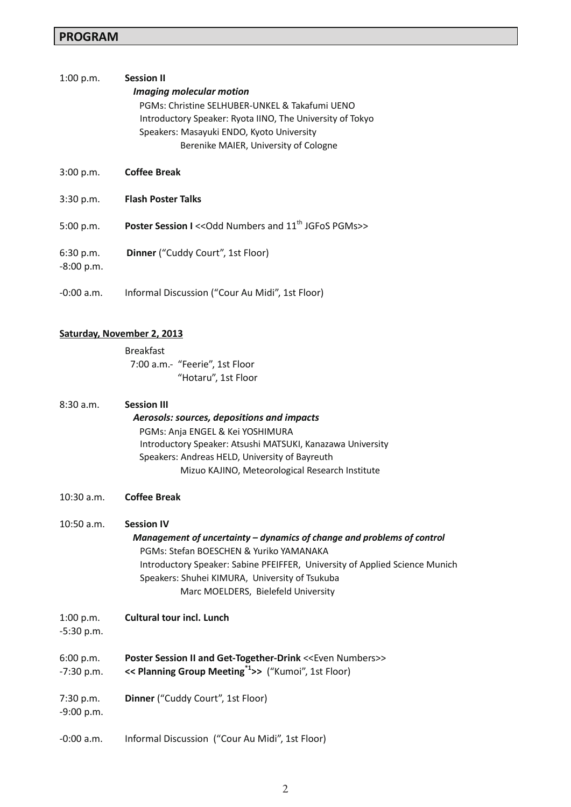## **PROGRAM**

# 1:00 p.m. **Session II**  *Imaging molecular motion* PGMs: Christine SELHUBER-UNKEL & Takafumi UENO Introductory Speaker: Ryota IINO, The University of Tokyo Speakers: Masayuki ENDO, Kyoto University Berenike MAIER, University of Cologne

- 3:00 p.m. **Coffee Break**
- 3:30 p.m. **Flash Poster Talks**
- 5:00 p.m. **Poster Session I** << Odd Numbers and 11<sup>th</sup> JGFoS PGMs>>
- 6:30 p.m. **Dinner** ("Cuddy Court", 1st Floor)
- -8:00 p.m.
- -0:00 a.m. Informal Discussion ("Cour Au Midi", 1st Floor)

#### **Saturday, November 2, 2013**

Breakfast 7:00 a.m.- "Feerie", 1st Floor "Hotaru", 1st Floor

| 8:30 a.m. | <b>Session III</b>                                         |
|-----------|------------------------------------------------------------|
|           | Aerosols: sources, depositions and impacts                 |
|           | PGMs: Anja ENGEL & Kei YOSHIMURA                           |
|           | Introductory Speaker: Atsushi MATSUKI, Kanazawa University |
|           | Speakers: Andreas HELD, University of Bayreuth             |
|           | Mizuo KAJINO, Meteorological Research Institute            |

10:30 a.m. **Coffee Break** 

| 10:50 a.m. | <b>Session IV</b>                                                           |
|------------|-----------------------------------------------------------------------------|
|            | Management of uncertainty – dynamics of change and problems of control      |
|            | PGMs: Stefan BOESCHEN & Yuriko YAMANAKA                                     |
|            | Introductory Speaker: Sabine PFEIFFER, University of Applied Science Munich |
|            | Speakers: Shuhei KIMURA, University of Tsukuba                              |
|            | Marc MOELDERS, Bielefeld University                                         |

1:00 p.m. **Cultural tour incl. Lunch**

-5:30 p.m.

6:00 p.m. -7:30 p.m. **Poster Session II and Get-Together-Drink <<Even Numbers>> << Planning Group Meeting\*1>>** ("Kumoi", 1st Floor)

7:30 p.m. **Dinner** ("Cuddy Court", 1st Floor)

-9:00 p.m.

-0:00 a.m. Informal Discussion ("Cour Au Midi", 1st Floor)